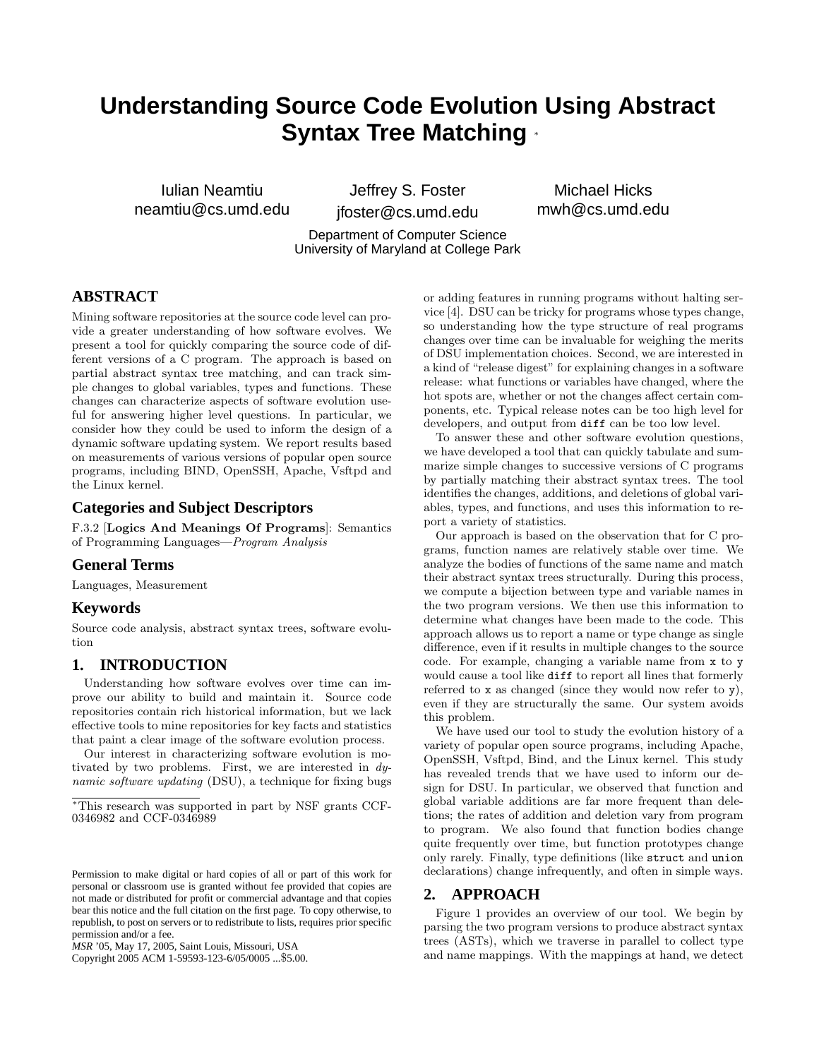# **Understanding Source Code Evolution Using Abstract Syntax Tree Matching** <sup>∗</sup>

Iulian Neamtiu neamtiu@cs.umd.edu

Jeffrey S. Foster jfoster@cs.umd.edu

Michael Hicks mwh@cs.umd.edu

Department of Computer Science University of Maryland at College Park

# **ABSTRACT**

Mining software repositories at the source code level can provide a greater understanding of how software evolves. We present a tool for quickly comparing the source code of different versions of a C program. The approach is based on partial abstract syntax tree matching, and can track simple changes to global variables, types and functions. These changes can characterize aspects of software evolution useful for answering higher level questions. In particular, we consider how they could be used to inform the design of a dynamic software updating system. We report results based on measurements of various versions of popular open source programs, including BIND, OpenSSH, Apache, Vsftpd and the Linux kernel.

## **Categories and Subject Descriptors**

F.3.2 [Logics And Meanings Of Programs]: Semantics of Programming Languages—Program Analysis

## **General Terms**

Languages, Measurement

## **Keywords**

Source code analysis, abstract syntax trees, software evolution

## **1. INTRODUCTION**

Understanding how software evolves over time can improve our ability to build and maintain it. Source code repositories contain rich historical information, but we lack effective tools to mine repositories for key facts and statistics that paint a clear image of the software evolution process.

Our interest in characterizing software evolution is motivated by two problems. First, we are interested in dynamic software updating (DSU), a technique for fixing bugs

Copyright 2005 ACM 1-59593-123-6/05/0005 ...\$5.00.

or adding features in running programs without halting service [4]. DSU can be tricky for programs whose types change, so understanding how the type structure of real programs changes over time can be invaluable for weighing the merits of DSU implementation choices. Second, we are interested in a kind of "release digest" for explaining changes in a software release: what functions or variables have changed, where the hot spots are, whether or not the changes affect certain components, etc. Typical release notes can be too high level for developers, and output from diff can be too low level.

To answer these and other software evolution questions, we have developed a tool that can quickly tabulate and summarize simple changes to successive versions of C programs by partially matching their abstract syntax trees. The tool identifies the changes, additions, and deletions of global variables, types, and functions, and uses this information to report a variety of statistics.

Our approach is based on the observation that for C programs, function names are relatively stable over time. We analyze the bodies of functions of the same name and match their abstract syntax trees structurally. During this process, we compute a bijection between type and variable names in the two program versions. We then use this information to determine what changes have been made to the code. This approach allows us to report a name or type change as single difference, even if it results in multiple changes to the source code. For example, changing a variable name from x to y would cause a tool like diff to report all lines that formerly referred to x as changed (since they would now refer to y), even if they are structurally the same. Our system avoids this problem.

We have used our tool to study the evolution history of a variety of popular open source programs, including Apache, OpenSSH, Vsftpd, Bind, and the Linux kernel. This study has revealed trends that we have used to inform our design for DSU. In particular, we observed that function and global variable additions are far more frequent than deletions; the rates of addition and deletion vary from program to program. We also found that function bodies change quite frequently over time, but function prototypes change only rarely. Finally, type definitions (like struct and union declarations) change infrequently, and often in simple ways.

#### **2. APPROACH**

Figure 1 provides an overview of our tool. We begin by parsing the two program versions to produce abstract syntax trees (ASTs), which we traverse in parallel to collect type and name mappings. With the mappings at hand, we detect

<sup>∗</sup>This research was supported in part by NSF grants CCF-0346982 and CCF-0346989

Permission to make digital or hard copies of all or part of this work for personal or classroom use is granted without fee provided that copies are not made or distributed for profit or commercial advantage and that copies bear this notice and the full citation on the first page. To copy otherwise, to republish, to post on servers or to redistribute to lists, requires prior specific permission and/or a fee.

*MSR* '05, May 17, 2005, Saint Louis, Missouri, USA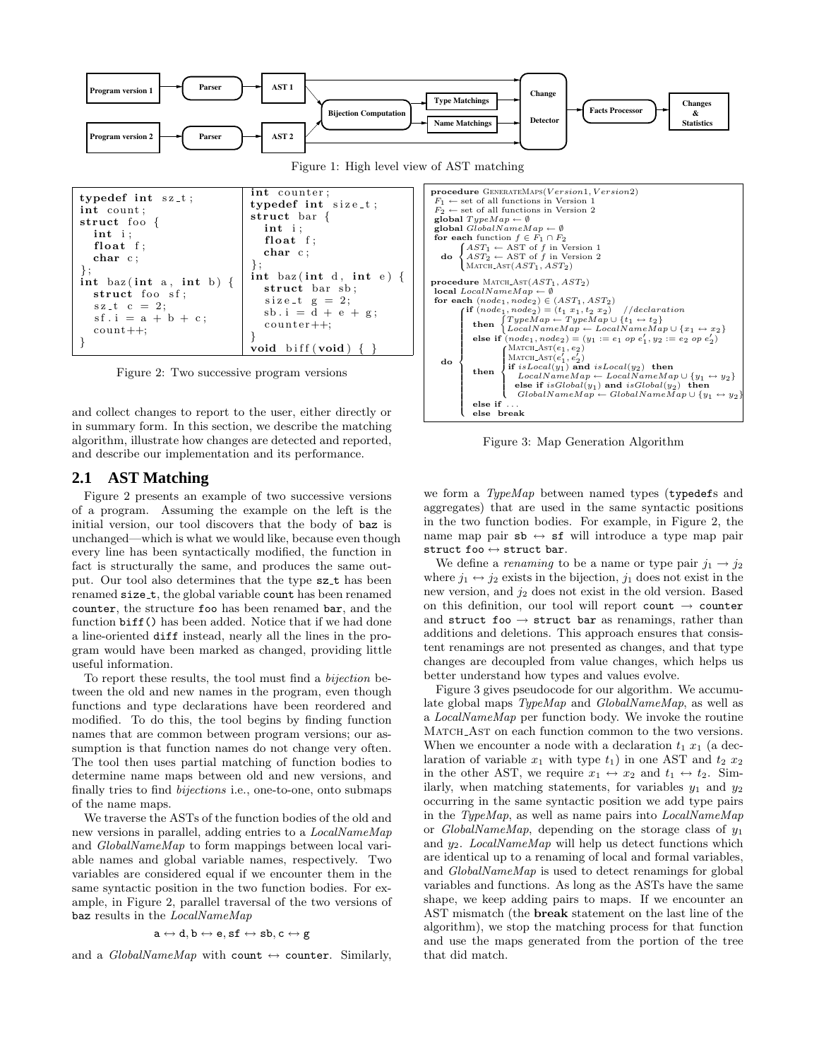



Figure 2: Two successive program versions

and collect changes to report to the user, either directly or in summary form. In this section, we describe the matching algorithm, illustrate how changes are detected and reported, and describe our implementation and its performance.

## **2.1 AST Matching**

Figure 2 presents an example of two successive versions of a program. Assuming the example on the left is the initial version, our tool discovers that the body of baz is unchanged—which is what we would like, because even though every line has been syntactically modified, the function in fact is structurally the same, and produces the same output. Our tool also determines that the type sz\_t has been renamed size\_t, the global variable count has been renamed counter, the structure foo has been renamed bar, and the function biff() has been added. Notice that if we had done a line-oriented diff instead, nearly all the lines in the program would have been marked as changed, providing little useful information.

To report these results, the tool must find a bijection between the old and new names in the program, even though functions and type declarations have been reordered and modified. To do this, the tool begins by finding function names that are common between program versions; our assumption is that function names do not change very often. The tool then uses partial matching of function bodies to determine name maps between old and new versions, and finally tries to find bijections i.e., one-to-one, onto submaps of the name maps.

We traverse the ASTs of the function bodies of the old and new versions in parallel, adding entries to a LocalNameMap and GlobalNameMap to form mappings between local variable names and global variable names, respectively. Two variables are considered equal if we encounter them in the same syntactic position in the two function bodies. For example, in Figure 2, parallel traversal of the two versions of  $\mathtt{baz}$  results in the  $LocalNameMap$ 

$$
\mathtt{a} \leftrightarrow \mathtt{d}, \mathtt{b} \leftrightarrow \mathtt{e}, \mathtt{s}\mathtt{f} \leftrightarrow \mathtt{s}\mathtt{b}, \mathtt{c} \leftrightarrow \mathtt{g}
$$

and a  $GlobalNameMap$  with count  $\leftrightarrow$  counter. Similarly,

global  $TypeMap \leftarrow \emptyset$ global  $GlobalNameMap \leftarrow \emptyset$ for each function  $f \in F_1 \cap F_2$ <br>  $\int AST_1 \leftarrow \text{AST of } f \text{ in Version 1}$ <br>
do  $\int AST_2 \leftarrow \text{AST of } f \text{ in Version 2}$ do  $MATCH\_AST(AST_1, AST_2)$  $AST_2 \leftarrow \text{AST of } f \text{ in Version 2}$ procedure  $MATCH\_AST(AST_1, AST_2)$ local  $LocalNameMap \leftarrow \emptyset$ for each  $(node_1, node_2) \in (AST_1, AST_2)$ do  $\begin{cases} \text{if } (node_1, node_2) = (t_1 \ x_1, t_2 \ x_2) \end{cases}$  //declaration<br>
then  $\begin{cases} TypeMap \leftarrow TypeMap \cup \{t_1 \leftrightarrow t_2\} \\ LogalNameMap \leftarrow LocalNameMap \cup \{x_1 \leftrightarrow x_2\} \end{cases}$  $\int$  $\overline{\phantom{a}}$ else if  $(node_1, node_2) = (y_1 := e_1 \text{ op } e'_1, y_2 := e_2 \text{ op } e'_2)$ then  $\Lambda$ MATCH\_AST $(e_1, e_2)$ MATCH\_AST $(e_1^{\prime}, e_2^{\prime})$ <br>if  $isLocal(y_1)$  and  $isLocal(y_2)$  then  $\downarrow$ LocalNameMap ← LocalNameMap  $\cup$  {y<sub>1</sub> ↔ y<sub>2</sub>}<br>else if isGlobal(y<sub>1</sub>) and isGlobal(y<sub>2</sub>) then  $GlobalNameMap \leftarrow GlobalNameMap \cup \{y_1 \leftrightarrow y_2\}$ else if else break

Figure 3: Map Generation Algorithm

we form a TypeMap between named types (typedefs and aggregates) that are used in the same syntactic positions in the two function bodies. For example, in Figure 2, the name map pair  $sb \leftrightarrow sf$  will introduce a type map pair struct foo  $\leftrightarrow$  struct bar.

We define a *renaming* to be a name or type pair  $j_1 \rightarrow j_2$ where  $j_1 \leftrightarrow j_2$  exists in the bijection,  $j_1$  does not exist in the new version, and  $j_2$  does not exist in the old version. Based on this definition, our tool will report count  $\rightarrow$  counter and struct foo  $\rightarrow$  struct bar as renamings, rather than additions and deletions. This approach ensures that consistent renamings are not presented as changes, and that type changes are decoupled from value changes, which helps us better understand how types and values evolve.

Figure 3 gives pseudocode for our algorithm. We accumulate global maps TypeMap and GlobalNameMap, as well as a LocalNameMap per function body. We invoke the routine MATCH AST on each function common to the two versions. When we encounter a node with a declaration  $t_1$   $x_1$  (a declaration of variable  $x_1$  with type  $t_1$ ) in one AST and  $t_2$   $x_2$ in the other AST, we require  $x_1 \leftrightarrow x_2$  and  $t_1 \leftrightarrow t_2$ . Similarly, when matching statements, for variables  $y_1$  and  $y_2$ occurring in the same syntactic position we add type pairs in the TypeMap, as well as name pairs into LocalNameMap or  $GlobalNameMap$ , depending on the storage class of  $y_1$ and y2. LocalNameMap will help us detect functions which are identical up to a renaming of local and formal variables, and GlobalNameMap is used to detect renamings for global variables and functions. As long as the ASTs have the same shape, we keep adding pairs to maps. If we encounter an AST mismatch (the break statement on the last line of the algorithm), we stop the matching process for that function and use the maps generated from the portion of the tree that did match.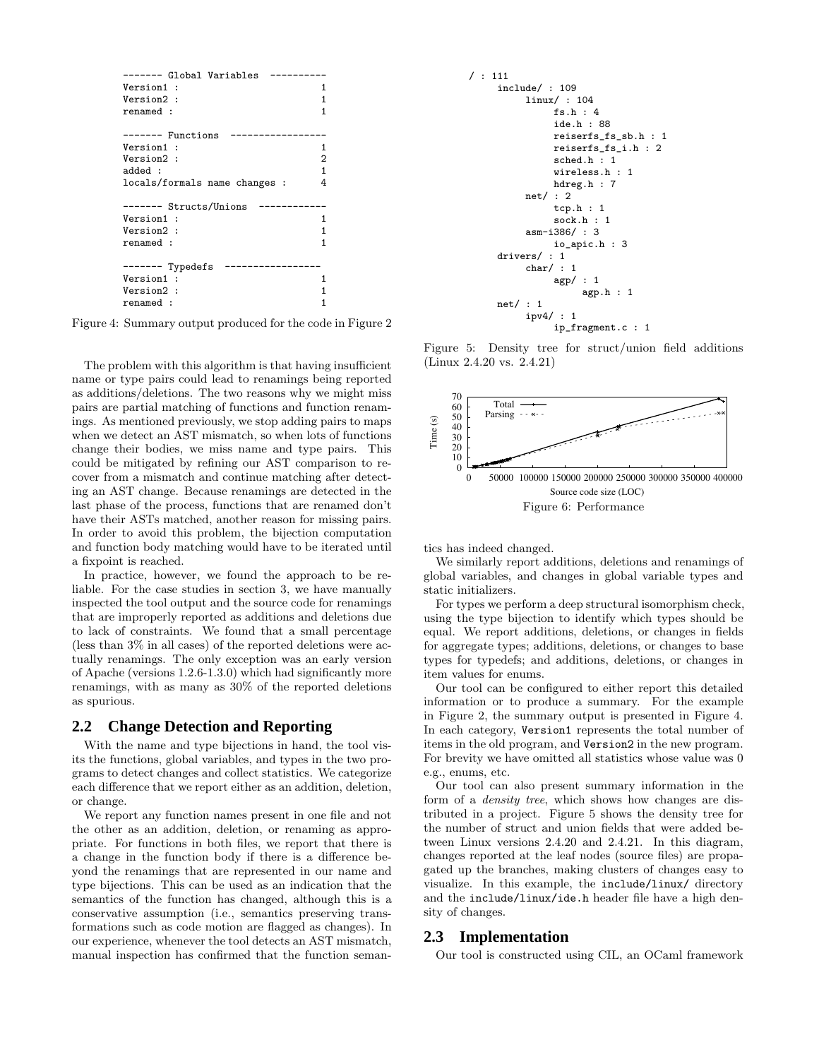| ----- Global Variables             |  |
|------------------------------------|--|
| Version1 :<br>1                    |  |
| Version2:<br>1                     |  |
| 1<br>renamed :                     |  |
|                                    |  |
| ------ Functions                   |  |
| Version1 :<br>1                    |  |
| Version2 :<br>2                    |  |
| 1<br>added :                       |  |
| locals/formals name changes :<br>4 |  |
|                                    |  |
| ------- Structs/Unions             |  |
| Version1 :<br>1                    |  |
| Version2 :<br>1                    |  |
| 1<br>renamed :                     |  |
|                                    |  |
| Typedefs<br>-------                |  |
| Version1 :<br>1                    |  |
| Version2 :<br>1                    |  |
| 1<br>renamed :                     |  |

Figure 4: Summary output produced for the code in Figure 2

The problem with this algorithm is that having insufficient name or type pairs could lead to renamings being reported as additions/deletions. The two reasons why we might miss pairs are partial matching of functions and function renamings. As mentioned previously, we stop adding pairs to maps when we detect an AST mismatch, so when lots of functions change their bodies, we miss name and type pairs. This could be mitigated by refining our AST comparison to recover from a mismatch and continue matching after detecting an AST change. Because renamings are detected in the last phase of the process, functions that are renamed don't have their ASTs matched, another reason for missing pairs. In order to avoid this problem, the bijection computation and function body matching would have to be iterated until a fixpoint is reached.

In practice, however, we found the approach to be reliable. For the case studies in section 3, we have manually inspected the tool output and the source code for renamings that are improperly reported as additions and deletions due to lack of constraints. We found that a small percentage (less than 3% in all cases) of the reported deletions were actually renamings. The only exception was an early version of Apache (versions 1.2.6-1.3.0) which had significantly more renamings, with as many as 30% of the reported deletions as spurious.

## **2.2 Change Detection and Reporting**

With the name and type bijections in hand, the tool visits the functions, global variables, and types in the two programs to detect changes and collect statistics. We categorize each difference that we report either as an addition, deletion, or change.

We report any function names present in one file and not the other as an addition, deletion, or renaming as appropriate. For functions in both files, we report that there is a change in the function body if there is a difference beyond the renamings that are represented in our name and type bijections. This can be used as an indication that the semantics of the function has changed, although this is a conservative assumption (i.e., semantics preserving transformations such as code motion are flagged as changes). In our experience, whenever the tool detects an AST mismatch, manual inspection has confirmed that the function seman-



Figure 5: Density tree for struct/union field additions (Linux 2.4.20 vs. 2.4.21)



tics has indeed changed.

We similarly report additions, deletions and renamings of global variables, and changes in global variable types and static initializers.

For types we perform a deep structural isomorphism check, using the type bijection to identify which types should be equal. We report additions, deletions, or changes in fields for aggregate types; additions, deletions, or changes to base types for typedefs; and additions, deletions, or changes in item values for enums.

Our tool can be configured to either report this detailed information or to produce a summary. For the example in Figure 2, the summary output is presented in Figure 4. In each category, Version1 represents the total number of items in the old program, and Version2 in the new program. For brevity we have omitted all statistics whose value was 0 e.g., enums, etc.

Our tool can also present summary information in the form of a density tree, which shows how changes are distributed in a project. Figure 5 shows the density tree for the number of struct and union fields that were added between Linux versions 2.4.20 and 2.4.21. In this diagram, changes reported at the leaf nodes (source files) are propagated up the branches, making clusters of changes easy to visualize. In this example, the include/linux/ directory and the include/linux/ide.h header file have a high density of changes.

## **2.3 Implementation**

Our tool is constructed using CIL, an OCaml framework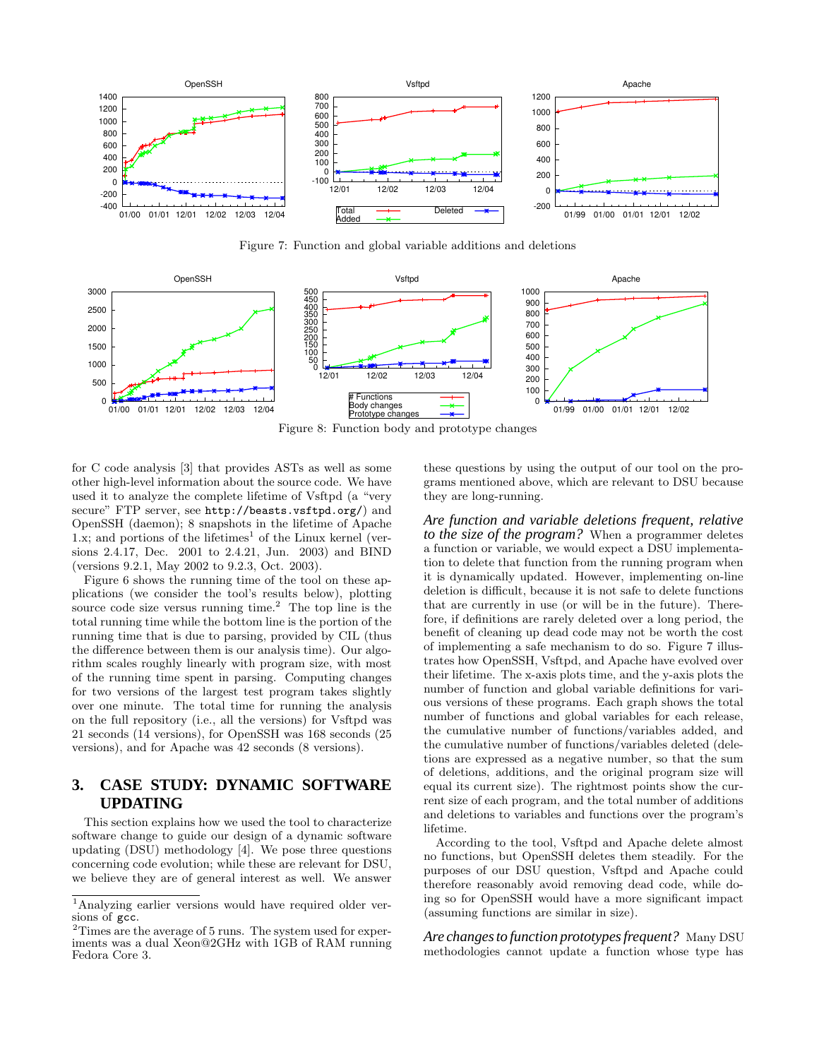

Figure 7: Function and global variable additions and deletions



Figure 8: Function body and prototype changes

for C code analysis [3] that provides ASTs as well as some other high-level information about the source code. We have used it to analyze the complete lifetime of Vsftpd (a "very secure" FTP server, see http://beasts.vsftpd.org/) and OpenSSH (daemon); 8 snapshots in the lifetime of Apache 1.x; and portions of the lifetimes<sup>1</sup> of the Linux kernel (versions 2.4.17, Dec. 2001 to 2.4.21, Jun. 2003) and BIND (versions 9.2.1, May 2002 to 9.2.3, Oct. 2003).

Figure 6 shows the running time of the tool on these applications (we consider the tool's results below), plotting source code size versus running time.<sup>2</sup> The top line is the total running time while the bottom line is the portion of the running time that is due to parsing, provided by CIL (thus the difference between them is our analysis time). Our algorithm scales roughly linearly with program size, with most of the running time spent in parsing. Computing changes for two versions of the largest test program takes slightly over one minute. The total time for running the analysis on the full repository (i.e., all the versions) for Vsftpd was 21 seconds (14 versions), for OpenSSH was 168 seconds (25 versions), and for Apache was 42 seconds (8 versions).

# **3. CASE STUDY: DYNAMIC SOFTWARE UPDATING**

This section explains how we used the tool to characterize software change to guide our design of a dynamic software updating (DSU) methodology [4]. We pose three questions concerning code evolution; while these are relevant for DSU, we believe they are of general interest as well. We answer these questions by using the output of our tool on the programs mentioned above, which are relevant to DSU because they are long-running.

*Are function and variable deletions frequent, relative to the size of the program?* When a programmer deletes a function or variable, we would expect a DSU implementation to delete that function from the running program when it is dynamically updated. However, implementing on-line deletion is difficult, because it is not safe to delete functions that are currently in use (or will be in the future). Therefore, if definitions are rarely deleted over a long period, the benefit of cleaning up dead code may not be worth the cost of implementing a safe mechanism to do so. Figure 7 illustrates how OpenSSH, Vsftpd, and Apache have evolved over their lifetime. The x-axis plots time, and the y-axis plots the number of function and global variable definitions for various versions of these programs. Each graph shows the total number of functions and global variables for each release, the cumulative number of functions/variables added, and the cumulative number of functions/variables deleted (deletions are expressed as a negative number, so that the sum of deletions, additions, and the original program size will equal its current size). The rightmost points show the current size of each program, and the total number of additions and deletions to variables and functions over the program's lifetime.

According to the tool, Vsftpd and Apache delete almost no functions, but OpenSSH deletes them steadily. For the purposes of our DSU question, Vsftpd and Apache could therefore reasonably avoid removing dead code, while doing so for OpenSSH would have a more significant impact (assuming functions are similar in size).

*Are changes to function prototypes frequent?* Many DSU methodologies cannot update a function whose type has

<sup>1</sup>Analyzing earlier versions would have required older versions of gcc.

<sup>2</sup>Times are the average of 5 runs. The system used for experiments was a dual Xeon@2GHz with 1GB of RAM running Fedora Core 3.